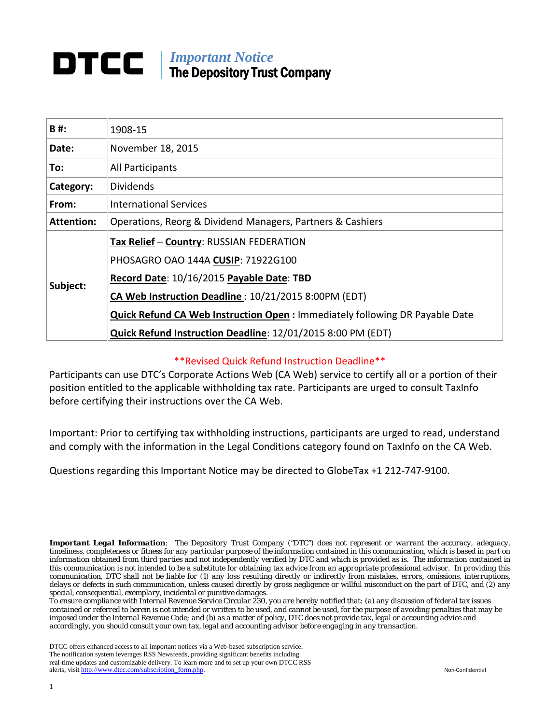## *Important Notice* The Depository Trust Company

| B#:               | 1908-15                                                                            |  |  |  |  |
|-------------------|------------------------------------------------------------------------------------|--|--|--|--|
| Date:             | November 18, 2015                                                                  |  |  |  |  |
| To:               | All Participants                                                                   |  |  |  |  |
| Category:         | <b>Dividends</b>                                                                   |  |  |  |  |
| From:             | <b>International Services</b>                                                      |  |  |  |  |
| <b>Attention:</b> | Operations, Reorg & Dividend Managers, Partners & Cashiers                         |  |  |  |  |
|                   | Tax Relief - Country: RUSSIAN FEDERATION                                           |  |  |  |  |
| Subject:          | PHOSAGRO OAO 144A CUSIP: 71922G100                                                 |  |  |  |  |
|                   | Record Date: 10/16/2015 Payable Date: TBD                                          |  |  |  |  |
|                   | CA Web Instruction Deadline: 10/21/2015 8:00PM (EDT)                               |  |  |  |  |
|                   | <b>Quick Refund CA Web Instruction Open: Immediately following DR Payable Date</b> |  |  |  |  |
|                   | Quick Refund Instruction Deadline: 12/01/2015 8:00 PM (EDT)                        |  |  |  |  |

#### \*\*Revised Quick Refund Instruction Deadline\*\*

Participants can use DTC's Corporate Actions Web (CA Web) service to certify all or a portion of their position entitled to the applicable withholding tax rate. Participants are urged to consult TaxInfo before certifying their instructions over the CA Web.

Important: Prior to certifying tax withholding instructions, participants are urged to read, understand and comply with the information in the Legal Conditions category found on TaxInfo on the CA Web.

Questions regarding this Important Notice may be directed to GlobeTax +1 212-747-9100.

*Important Legal Information: The Depository Trust Company ("DTC") does not represent or warrant the accuracy, adequacy, timeliness, completeness or fitness for any particular purpose of the information contained in this communication, which is based in part on information obtained from third parties and not independently verified by DTC and which is provided as is. The information contained in this communication is not intended to be a substitute for obtaining tax advice from an appropriate professional advisor. In providing this communication, DTC shall not be liable for (1) any loss resulting directly or indirectly from mistakes, errors, omissions, interruptions, delays or defects in such communication, unless caused directly by gross negligence or willful misconduct on the part of DTC, and (2) any special, consequential, exemplary, incidental or punitive damages.*

*To ensure compliance with Internal Revenue Service Circular 230, you are hereby notified that: (a) any discussion of federal tax issues contained or referred to herein is not intended or written to be used, and cannot be used, for the purpose of avoiding penalties that may be imposed under the Internal Revenue Code; and (b) as a matter of policy, DTC does not provide tax, legal or accounting advice and accordingly, you should consult your own tax, legal and accounting advisor before engaging in any transaction.*

DTCC offers enhanced access to all important notices via a Web-based subscription service. The notification system leverages RSS Newsfeeds, providing significant benefits including real-time updates and customizable delivery. To learn more and to set up your own DTCC RSS alerts, visit [http://www.dtcc.com/subscription\\_form.php.](http://www.dtcc.com/subscription_form.php) Non-Confidential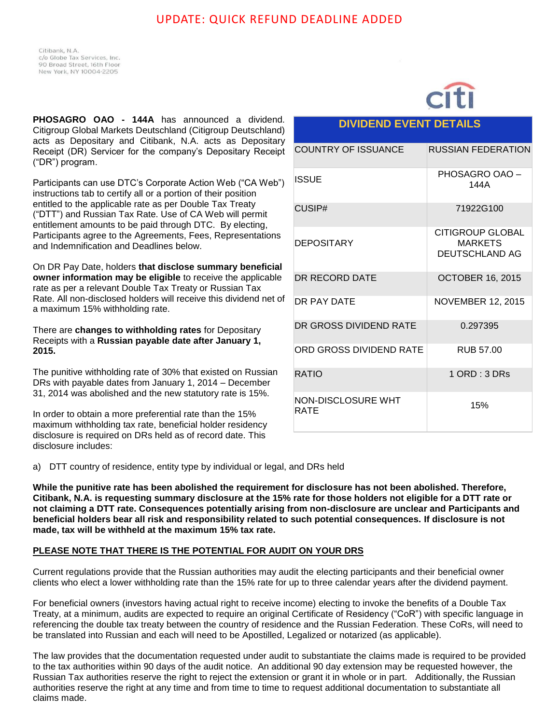## UPDATE: QUICK REFUND DEADLINE ADDED

Citibank, N.A. c/o Globe Tax Services, Inc. 90 Broad Street, 16th Floor New York, NY 10004-2205

**PHOSAGRO OAO - 144A** has announced a dividend. Citigroup Global Markets Deutschland (Citigroup Deutschland) acts as Depositary and Citibank, N.A. acts as Depositary Receipt (DR) Servicer for the company's Depositary Receipt ("DR") program.

Participants can use DTC's Corporate Action Web ("CA Web") instructions tab to certify all or a portion of their position entitled to the applicable rate as per Double Tax Treaty ("DTT") and Russian Tax Rate. Use of CA Web will permit entitlement amounts to be paid through DTC. By electing, Participants agree to the Agreements, Fees, Representations and Indemnification and Deadlines below.

On DR Pay Date, holders **that disclose summary beneficial owner information may be eligible** to receive the applicable rate as per a relevant Double Tax Treaty or Russian Tax Rate. All non-disclosed holders will receive this dividend net of a maximum 15% withholding rate.

There are **changes to withholding rates** for Depositary Receipts with a **Russian payable date after January 1, 2015.** 

The punitive withholding rate of 30% that existed on Russian DRs with payable dates from January 1, 2014 – December 31, 2014 was abolished and the new statutory rate is 15%.

In order to obtain a more preferential rate than the 15% maximum withholding tax rate, beneficial holder residency disclosure is required on DRs held as of record date. This disclosure includes:

### **DIVIDEND EVENT DETAILS**

| <b>COUNTRY OF ISSUANCE</b> | RUSSIAN FEDERATION                                          |
|----------------------------|-------------------------------------------------------------|
| ISSUE                      | PHOSAGRO OAO -<br>144A                                      |
| CUSIP#                     | 71922G100                                                   |
| <b>DEPOSITARY</b>          | <b>CITIGROUP GLOBAL</b><br><b>MARKETS</b><br>DEUTSCHLAND AG |
| DR RECORD DATE             | <b>OCTOBER 16, 2015</b>                                     |
| DR PAY DATE                | <b>NOVEMBER 12, 2015</b>                                    |
| DR GROSS DIVIDEND RATE     | 0.297395                                                    |
| ORD GROSS DIVIDEND RATE    | <b>RUB 57.00</b>                                            |
| <b>RATIO</b>               | $1$ ORD : $3$ DRs                                           |
| NON-DISCLOSURE WHT<br>RATE | 15%                                                         |

a) DTT country of residence, entity type by individual or legal, and DRs held

**While the punitive rate has been abolished the requirement for disclosure has not been abolished. Therefore, Citibank, N.A. is requesting summary disclosure at the 15% rate for those holders not eligible for a DTT rate or not claiming a DTT rate. Consequences potentially arising from non-disclosure are unclear and Participants and beneficial holders bear all risk and responsibility related to such potential consequences. If disclosure is not made, tax will be withheld at the maximum 15% tax rate.** 

#### **PLEASE NOTE THAT THERE IS THE POTENTIAL FOR AUDIT ON YOUR DRS**

Current regulations provide that the Russian authorities may audit the electing participants and their beneficial owner clients who elect a lower withholding rate than the 15% rate for up to three calendar years after the dividend payment.

For beneficial owners (investors having actual right to receive income) electing to invoke the benefits of a Double Tax Treaty, at a minimum, audits are expected to require an original Certificate of Residency ("CoR") with specific language in referencing the double tax treaty between the country of residence and the Russian Federation. These CoRs, will need to be translated into Russian and each will need to be Apostilled, Legalized or notarized (as applicable).

The law provides that the documentation requested under audit to substantiate the claims made is required to be provided to the tax authorities within 90 days of the audit notice. An additional 90 day extension may be requested however, the Russian Tax authorities reserve the right to reject the extension or grant it in whole or in part. Additionally, the Russian authorities reserve the right at any time and from time to time to request additional documentation to substantiate all claims made.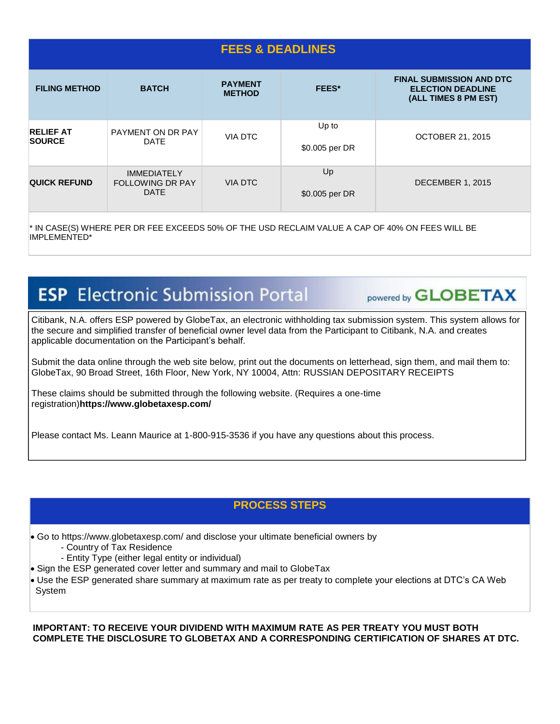| <b>FEES &amp; DEADLINES</b>       |                                                              |                                 |                         |                                                                                     |  |
|-----------------------------------|--------------------------------------------------------------|---------------------------------|-------------------------|-------------------------------------------------------------------------------------|--|
| <b>FILING METHOD</b>              | <b>BATCH</b>                                                 | <b>PAYMENT</b><br><b>METHOD</b> | <b>FEES*</b>            | <b>FINAL SUBMISSION AND DTC</b><br><b>ELECTION DEADLINE</b><br>(ALL TIMES 8 PM EST) |  |
| <b>RELIEF AT</b><br><b>SOURCE</b> | PAYMENT ON DR PAY<br><b>DATE</b>                             | VIA DTC                         | Up to<br>\$0.005 per DR | <b>OCTOBER 21, 2015</b>                                                             |  |
| <b>QUICK REFUND</b>               | <b>IMMEDIATELY</b><br><b>FOLLOWING DR PAY</b><br><b>DATE</b> | <b>VIA DTC</b>                  | Up<br>\$0.005 per DR    | <b>DECEMBER 1, 2015</b>                                                             |  |

\* IN CASE(S) WHERE PER DR FEE EXCEEDS 50% OF THE USD RECLAIM VALUE A CAP OF 40% ON FEES WILL BE IMPLEMENTED\*

# **ESP** Electronic Submission Portal

**Example 3 Provered by GLOBETAX** 

Citibank, N.A. offers ESP powered by GlobeTax, an electronic withholding tax submission system. This system allows for the secure and simplified transfer of beneficial owner level data from the Participant to Citibank, N.A. and creates applicable documentation on the Participant's behalf.

Submit the data online through the web site below, print out the documents on letterhead, sign them, and mail them to: GlobeTax, 90 Broad Street, 16th Floor, New York, NY 10004, Attn: RUSSIAN DEPOSITARY RECEIPTS

These claims should be submitted through the following website. (Requires a one-time registration)**https://www.globetaxesp.com/**

Please contact Ms. Leann Maurice at 1-800-915-3536 if you have any questions about this process.

## **PROCESS STEPS**

- Go to https://www.globetaxesp.com/ and disclose your ultimate beneficial owners by
	- Country of Tax Residence
	- Entity Type (either legal entity or individual)
- Sign the ESP generated cover letter and summary and mail to GlobeTax
- Use the ESP generated share summary at maximum rate as per treaty to complete your elections at DTC's CA Web System

**IMPORTANT: TO RECEIVE YOUR DIVIDEND WITH MAXIMUM RATE AS PER TREATY YOU MUST BOTH COMPLETE THE DISCLOSURE TO GLOBETAX AND A CORRESPONDING CERTIFICATION OF SHARES AT DTC.**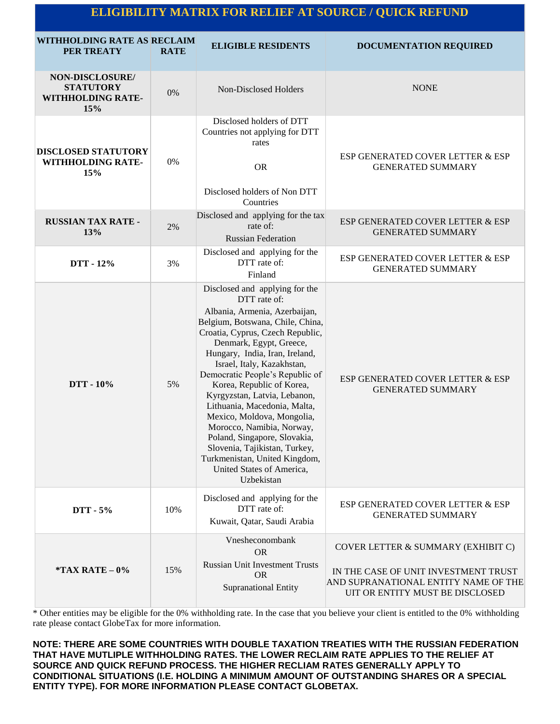# **ELIGIBILITY MATRIX FOR RELIEF AT SOURCE / QUICK REFUND**

| WITHHOLDING RATE AS RECLAIM<br>PER TREATY                       | <b>RATE</b> | <b>ELIGIBLE RESIDENTS</b>                                                                                                                                                                                                                                                                                                                                                                                                                                                                                                                                                                  | <b>DOCUMENTATION REQUIRED</b>                                                                                                                         |
|-----------------------------------------------------------------|-------------|--------------------------------------------------------------------------------------------------------------------------------------------------------------------------------------------------------------------------------------------------------------------------------------------------------------------------------------------------------------------------------------------------------------------------------------------------------------------------------------------------------------------------------------------------------------------------------------------|-------------------------------------------------------------------------------------------------------------------------------------------------------|
| NON-DISCLOSURE/<br><b>STATUTORY</b><br>WITHHOLDING RATE-<br>15% | $0\%$       | Non-Disclosed Holders                                                                                                                                                                                                                                                                                                                                                                                                                                                                                                                                                                      | <b>NONE</b>                                                                                                                                           |
| <b>DISCLOSED STATUTORY</b><br><b>WITHHOLDING RATE-</b><br>15%   | 0%          | Disclosed holders of DTT<br>Countries not applying for DTT<br>rates<br><b>OR</b><br>Disclosed holders of Non DTT<br>Countries                                                                                                                                                                                                                                                                                                                                                                                                                                                              | ESP GENERATED COVER LETTER & ESP<br><b>GENERATED SUMMARY</b>                                                                                          |
| <b>RUSSIAN TAX RATE -</b><br>13%                                | 2%          | Disclosed and applying for the tax<br>rate of:<br><b>Russian Federation</b>                                                                                                                                                                                                                                                                                                                                                                                                                                                                                                                | ESP GENERATED COVER LETTER & ESP<br><b>GENERATED SUMMARY</b>                                                                                          |
| DTT - 12%                                                       | 3%          | Disclosed and applying for the<br>DTT rate of:<br>Finland                                                                                                                                                                                                                                                                                                                                                                                                                                                                                                                                  | ESP GENERATED COVER LETTER & ESP<br><b>GENERATED SUMMARY</b>                                                                                          |
| DTT - 10%                                                       | 5%          | Disclosed and applying for the<br>DTT rate of:<br>Albania, Armenia, Azerbaijan,<br>Belgium, Botswana, Chile, China,<br>Croatia, Cyprus, Czech Republic,<br>Denmark, Egypt, Greece,<br>Hungary, India, Iran, Ireland,<br>Israel, Italy, Kazakhstan,<br>Democratic People's Republic of<br>Korea, Republic of Korea,<br>Kyrgyzstan, Latvia, Lebanon,<br>Lithuania, Macedonia, Malta,<br>Mexico, Moldova, Mongolia,<br>Morocco, Namibia, Norway,<br>Poland, Singapore, Slovakia,<br>Slovenia, Tajikistan, Turkey,<br>Turkmenistan, United Kingdom,<br>United States of America,<br>Uzbekistan | ESP GENERATED COVER LETTER & ESP<br><b>GENERATED SUMMARY</b>                                                                                          |
| DTT - 5%                                                        | 10%         | Disclosed and applying for the<br>DTT rate of:<br>Kuwait, Qatar, Saudi Arabia                                                                                                                                                                                                                                                                                                                                                                                                                                                                                                              | ESP GENERATED COVER LETTER & ESP<br><b>GENERATED SUMMARY</b>                                                                                          |
| *TAX RATE $-0\%$                                                | 15%         | Vnesheconombank<br><b>OR</b><br><b>Russian Unit Investment Trusts</b><br><b>OR</b><br>Supranational Entity                                                                                                                                                                                                                                                                                                                                                                                                                                                                                 | COVER LETTER & SUMMARY (EXHIBIT C)<br>IN THE CASE OF UNIT INVESTMENT TRUST<br>AND SUPRANATIONAL ENTITY NAME OF THE<br>UIT OR ENTITY MUST BE DISCLOSED |

\* Other entities may be eligible for the 0% withholding rate. In the case that you believe your client is entitled to the 0% withholding rate please contact GlobeTax for more information.

**NOTE: THERE ARE SOME COUNTRIES WITH DOUBLE TAXATION TREATIES WITH THE RUSSIAN FEDERATION THAT HAVE MUTLIPLE WITHHOLDING RATES. THE LOWER RECLAIM RATE APPLIES TO THE RELIEF AT SOURCE AND QUICK REFUND PROCESS. THE HIGHER RECLIAM RATES GENERALLY APPLY TO CONDITIONAL SITUATIONS (I.E. HOLDING A MINIMUM AMOUNT OF OUTSTANDING SHARES OR A SPECIAL ENTITY TYPE). FOR MORE INFORMATION PLEASE CONTACT GLOBETAX.**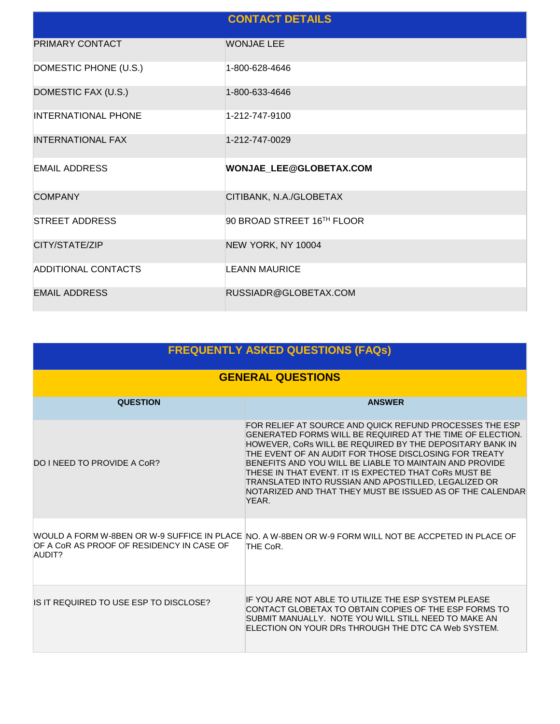|                            | <b>CONTACT DETAILS</b>     |
|----------------------------|----------------------------|
| PRIMARY CONTACT            | <b>WONJAE LEE</b>          |
| DOMESTIC PHONE (U.S.)      | 1-800-628-4646             |
| DOMESTIC FAX (U.S.)        | 1-800-633-4646             |
| <b>INTERNATIONAL PHONE</b> | 1-212-747-9100             |
| <b>INTERNATIONAL FAX</b>   | 1-212-747-0029             |
| <b>EMAIL ADDRESS</b>       | WONJAE LEE@GLOBETAX.COM    |
| <b>COMPANY</b>             | CITIBANK, N.A./GLOBETAX    |
| <b>STREET ADDRESS</b>      | 90 BROAD STREET 16TH FLOOR |
| CITY/STATE/ZIP             | NEW YORK, NY 10004         |
| <b>ADDITIONAL CONTACTS</b> | <b>LEANN MAURICE</b>       |
| <b>EMAIL ADDRESS</b>       | RUSSIADR@GLOBETAX.COM      |

| <b>FREQUENTLY ASKED QUESTIONS (FAQs)</b>            |                                                                                                                                                                                                                                                                                                                                                                                                                                                                                             |  |  |  |
|-----------------------------------------------------|---------------------------------------------------------------------------------------------------------------------------------------------------------------------------------------------------------------------------------------------------------------------------------------------------------------------------------------------------------------------------------------------------------------------------------------------------------------------------------------------|--|--|--|
| <b>GENERAL QUESTIONS</b>                            |                                                                                                                                                                                                                                                                                                                                                                                                                                                                                             |  |  |  |
| <b>QUESTION</b>                                     | <b>ANSWER</b>                                                                                                                                                                                                                                                                                                                                                                                                                                                                               |  |  |  |
| DO I NEED TO PROVIDE A CoR?                         | FOR RELIEF AT SOURCE AND QUICK REFUND PROCESSES THE ESP<br>GENERATED FORMS WILL BE REQUIRED AT THE TIME OF ELECTION.<br>HOWEVER, CORS WILL BE REQUIRED BY THE DEPOSITARY BANK IN<br>THE EVENT OF AN AUDIT FOR THOSE DISCLOSING FOR TREATY<br>BENEFITS AND YOU WILL BE LIABLE TO MAINTAIN AND PROVIDE<br>THESE IN THAT EVENT. IT IS EXPECTED THAT CORS MUST BE<br>TRANSLATED INTO RUSSIAN AND APOSTILLED, LEGALIZED OR<br>NOTARIZED AND THAT THEY MUST BE ISSUED AS OF THE CALENDAR<br>YEAR. |  |  |  |
| OF A CoR AS PROOF OF RESIDENCY IN CASE OF<br>AUDIT? | WOULD A FORM W-8BEN OR W-9 SUFFICE IN PLACE INO. A W-8BEN OR W-9 FORM WILL NOT BE ACCPETED IN PLACE OF<br>THE CoR.                                                                                                                                                                                                                                                                                                                                                                          |  |  |  |
| IS IT REQUIRED TO USE ESP TO DISCLOSE?              | IF YOU ARE NOT ABLE TO UTILIZE THE ESP SYSTEM PLEASE<br>CONTACT GLOBETAX TO OBTAIN COPIES OF THE ESP FORMS TO<br>SUBMIT MANUALLY. NOTE YOU WILL STILL NEED TO MAKE AN<br>ELECTION ON YOUR DRs THROUGH THE DTC CA Web SYSTEM.                                                                                                                                                                                                                                                                |  |  |  |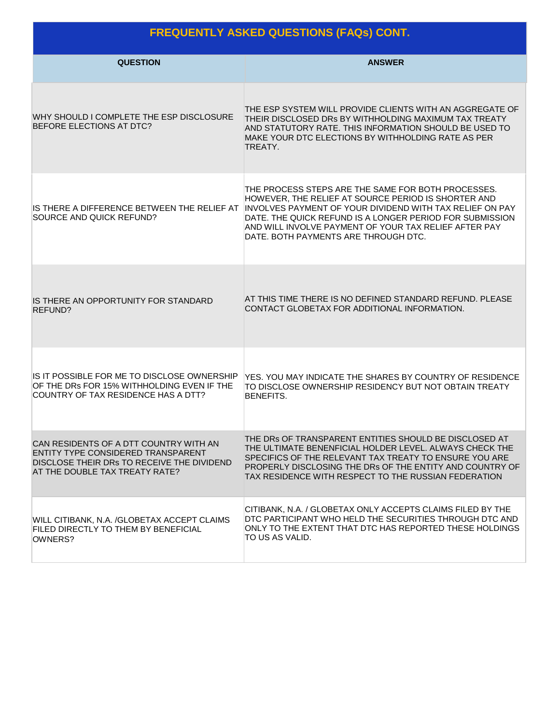# **FREQUENTLY ASKED QUESTIONS (FAQs) CONT.**

| <b>QUESTION</b>                                                                                                                                              | <b>ANSWER</b>                                                                                                                                                                                                                                                                                                                      |
|--------------------------------------------------------------------------------------------------------------------------------------------------------------|------------------------------------------------------------------------------------------------------------------------------------------------------------------------------------------------------------------------------------------------------------------------------------------------------------------------------------|
| WHY SHOULD I COMPLETE THE ESP DISCLOSURE<br>BEFORE ELECTIONS AT DTC?                                                                                         | THE ESP SYSTEM WILL PROVIDE CLIENTS WITH AN AGGREGATE OF<br>THEIR DISCLOSED DRs BY WITHHOLDING MAXIMUM TAX TREATY<br>AND STATUTORY RATE. THIS INFORMATION SHOULD BE USED TO<br>MAKE YOUR DTC ELECTIONS BY WITHHOLDING RATE AS PER<br>TREATY.                                                                                       |
| IS THERE A DIFFERENCE BETWEEN THE RELIEF AT<br>SOURCE AND QUICK REFUND?                                                                                      | THE PROCESS STEPS ARE THE SAME FOR BOTH PROCESSES.<br>HOWEVER, THE RELIEF AT SOURCE PERIOD IS SHORTER AND<br>INVOLVES PAYMENT OF YOUR DIVIDEND WITH TAX RELIEF ON PAY<br>DATE. THE QUICK REFUND IS A LONGER PERIOD FOR SUBMISSION<br>AND WILL INVOLVE PAYMENT OF YOUR TAX RELIEF AFTER PAY<br>DATE, BOTH PAYMENTS ARE THROUGH DTC. |
| IS THERE AN OPPORTUNITY FOR STANDARD<br>REFUND?                                                                                                              | AT THIS TIME THERE IS NO DEFINED STANDARD REFUND. PLEASE<br>CONTACT GLOBETAX FOR ADDITIONAL INFORMATION.                                                                                                                                                                                                                           |
| IS IT POSSIBLE FOR ME TO DISCLOSE OWNERSHIP<br>OF THE DRs FOR 15% WITHHOLDING EVEN IF THE<br>COUNTRY OF TAX RESIDENCE HAS A DTT?                             | YES. YOU MAY INDICATE THE SHARES BY COUNTRY OF RESIDENCE<br>TO DISCLOSE OWNERSHIP RESIDENCY BUT NOT OBTAIN TREATY<br><b>BENEFITS.</b>                                                                                                                                                                                              |
| CAN RESIDENTS OF A DTT COUNTRY WITH AN<br>ENTITY TYPE CONSIDERED TRANSPARENT<br>DISCLOSE THEIR DRs TO RECEIVE THE DIVIDEND<br>AT THE DOUBLE TAX TREATY RATE? | THE DRS OF TRANSPARENT ENTITIES SHOULD BE DISCLOSED AT<br>THE ULTIMATE BENENFICIAL HOLDER LEVEL. ALWAYS CHECK THE<br>SPECIFICS OF THE RELEVANT TAX TREATY TO ENSURE YOU ARE<br>PROPERLY DISCLOSING THE DRs OF THE ENTITY AND COUNTRY OF<br>TAX RESIDENCE WITH RESPECT TO THE RUSSIAN FEDERATION                                    |
| WILL CITIBANK, N.A. /GLOBETAX ACCEPT CLAIMS<br>FILED DIRECTLY TO THEM BY BENEFICIAL<br>OWNERS?                                                               | CITIBANK, N.A. / GLOBETAX ONLY ACCEPTS CLAIMS FILED BY THE<br>DTC PARTICIPANT WHO HELD THE SECURITIES THROUGH DTC AND<br>ONLY TO THE EXTENT THAT DTC HAS REPORTED THESE HOLDINGS<br>TO US AS VALID.                                                                                                                                |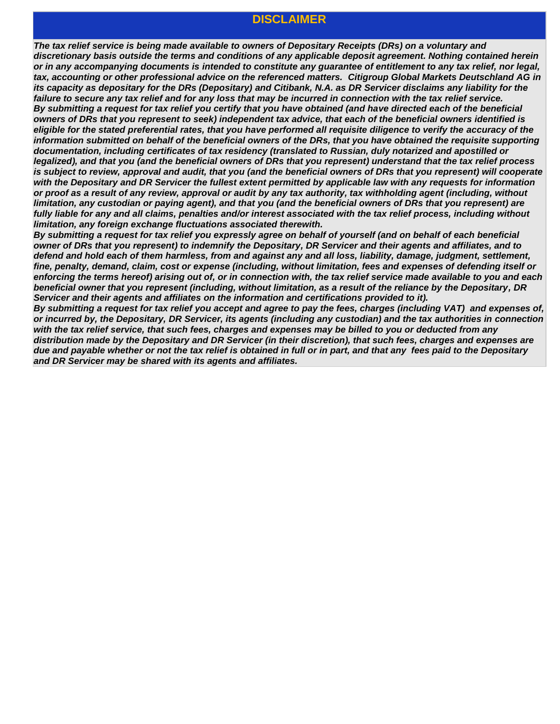#### **DISCLAIMER**

*The tax relief service is being made available to owners of Depositary Receipts (DRs) on a voluntary and discretionary basis outside the terms and conditions of any applicable deposit agreement. Nothing contained herein or in any accompanying documents is intended to constitute any guarantee of entitlement to any tax relief, nor legal, tax, accounting or other professional advice on the referenced matters. Citigroup Global Markets Deutschland AG in its capacity as depositary for the DRs (Depositary) and Citibank, N.A. as DR Servicer disclaims any liability for the*  failure to secure any tax relief and for any loss that may be incurred in connection with the tax relief service. *By submitting a request for tax relief you certify that you have obtained (and have directed each of the beneficial owners of DRs that you represent to seek) independent tax advice, that each of the beneficial owners identified is eligible for the stated preferential rates, that you have performed all requisite diligence to verify the accuracy of the information submitted on behalf of the beneficial owners of the DRs, that you have obtained the requisite supporting documentation, including certificates of tax residency (translated to Russian, duly notarized and apostilled or legalized), and that you (and the beneficial owners of DRs that you represent) understand that the tax relief process is subject to review, approval and audit, that you (and the beneficial owners of DRs that you represent) will cooperate with the Depositary and DR Servicer the fullest extent permitted by applicable law with any requests for information or proof as a result of any review, approval or audit by any tax authority, tax withholding agent (including, without limitation, any custodian or paying agent), and that you (and the beneficial owners of DRs that you represent) are fully liable for any and all claims, penalties and/or interest associated with the tax relief process, including without limitation, any foreign exchange fluctuations associated therewith.* 

*By submitting a request for tax relief you expressly agree on behalf of yourself (and on behalf of each beneficial owner of DRs that you represent) to indemnify the Depositary, DR Servicer and their agents and affiliates, and to defend and hold each of them harmless, from and against any and all loss, liability, damage, judgment, settlement, fine, penalty, demand, claim, cost or expense (including, without limitation, fees and expenses of defending itself or enforcing the terms hereof) arising out of, or in connection with, the tax relief service made available to you and each beneficial owner that you represent (including, without limitation, as a result of the reliance by the Depositary, DR Servicer and their agents and affiliates on the information and certifications provided to it).*

*By submitting a request for tax relief you accept and agree to pay the fees, charges (including VAT) and expenses of, or incurred by, the Depositary, DR Servicer, its agents (including any custodian) and the tax authorities in connection with the tax relief service, that such fees, charges and expenses may be billed to you or deducted from any distribution made by the Depositary and DR Servicer (in their discretion), that such fees, charges and expenses are due and payable whether or not the tax relief is obtained in full or in part, and that any fees paid to the Depositary and DR Servicer may be shared with its agents and affiliates.*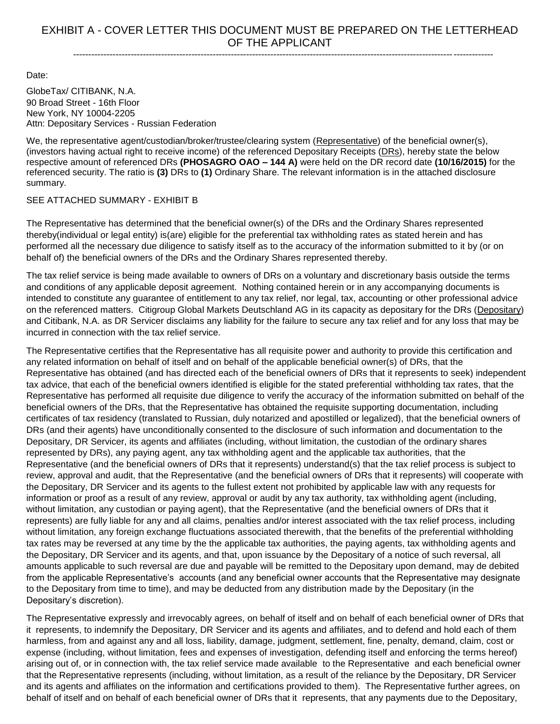Date:

GlobeTax/ CITIBANK, N.A. 90 Broad Street - 16th Floor New York, NY 10004-2205 Attn: Depositary Services - Russian Federation

We, the representative agent/custodian/broker/trustee/clearing system (Representative) of the beneficial owner(s), (investors having actual right to receive income) of the referenced Depositary Receipts (DRs), hereby state the below respective amount of referenced DRs **(PHOSAGRO OAO – 144 A)** were held on the DR record date **(10/16/2015)** for the referenced security. The ratio is **(3)** DRs to **(1)** Ordinary Share. The relevant information is in the attached disclosure summary.

#### SEE ATTACHED SUMMARY - EXHIBIT B

The Representative has determined that the beneficial owner(s) of the DRs and the Ordinary Shares represented thereby(individual or legal entity) is(are) eligible for the preferential tax withholding rates as stated herein and has performed all the necessary due diligence to satisfy itself as to the accuracy of the information submitted to it by (or on behalf of) the beneficial owners of the DRs and the Ordinary Shares represented thereby.

The tax relief service is being made available to owners of DRs on a voluntary and discretionary basis outside the terms and conditions of any applicable deposit agreement. Nothing contained herein or in any accompanying documents is intended to constitute any guarantee of entitlement to any tax relief, nor legal, tax, accounting or other professional advice on the referenced matters. Citigroup Global Markets Deutschland AG in its capacity as depositary for the DRs (Depositary) and Citibank, N.A. as DR Servicer disclaims any liability for the failure to secure any tax relief and for any loss that may be incurred in connection with the tax relief service.

The Representative certifies that the Representative has all requisite power and authority to provide this certification and any related information on behalf of itself and on behalf of the applicable beneficial owner(s) of DRs, that the Representative has obtained (and has directed each of the beneficial owners of DRs that it represents to seek) independent tax advice, that each of the beneficial owners identified is eligible for the stated preferential withholding tax rates, that the Representative has performed all requisite due diligence to verify the accuracy of the information submitted on behalf of the beneficial owners of the DRs, that the Representative has obtained the requisite supporting documentation, including certificates of tax residency (translated to Russian, duly notarized and apostilled or legalized), that the beneficial owners of DRs (and their agents) have unconditionally consented to the disclosure of such information and documentation to the Depositary, DR Servicer, its agents and affiliates (including, without limitation, the custodian of the ordinary shares represented by DRs), any paying agent, any tax withholding agent and the applicable tax authorities, that the Representative (and the beneficial owners of DRs that it represents) understand(s) that the tax relief process is subject to review, approval and audit, that the Representative (and the beneficial owners of DRs that it represents) will cooperate with the Depositary, DR Servicer and its agents to the fullest extent not prohibited by applicable law with any requests for information or proof as a result of any review, approval or audit by any tax authority, tax withholding agent (including, without limitation, any custodian or paying agent), that the Representative (and the beneficial owners of DRs that it represents) are fully liable for any and all claims, penalties and/or interest associated with the tax relief process, including without limitation, any foreign exchange fluctuations associated therewith, that the benefits of the preferential withholding tax rates may be reversed at any time by the the applicable tax authorities, the paying agents, tax withholding agents and the Depositary, DR Servicer and its agents, and that, upon issuance by the Depositary of a notice of such reversal, all amounts applicable to such reversal are due and payable will be remitted to the Depositary upon demand, may de debited from the applicable Representative's accounts (and any beneficial owner accounts that the Representative may designate to the Depositary from time to time), and may be deducted from any distribution made by the Depositary (in the Depositary's discretion).

The Representative expressly and irrevocably agrees, on behalf of itself and on behalf of each beneficial owner of DRs that it represents, to indemnify the Depositary, DR Servicer and its agents and affiliates, and to defend and hold each of them harmless, from and against any and all loss, liability, damage, judgment, settlement, fine, penalty, demand, claim, cost or expense (including, without limitation, fees and expenses of investigation, defending itself and enforcing the terms hereof) arising out of, or in connection with, the tax relief service made available to the Representative and each beneficial owner that the Representative represents (including, without limitation, as a result of the reliance by the Depositary, DR Servicer and its agents and affiliates on the information and certifications provided to them). The Representative further agrees, on behalf of itself and on behalf of each beneficial owner of DRs that it represents, that any payments due to the Depositary,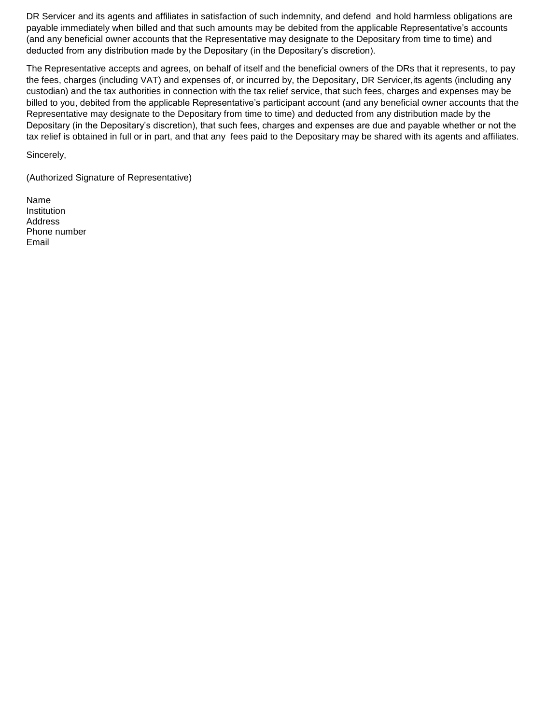DR Servicer and its agents and affiliates in satisfaction of such indemnity, and defend and hold harmless obligations are payable immediately when billed and that such amounts may be debited from the applicable Representative's accounts (and any beneficial owner accounts that the Representative may designate to the Depositary from time to time) and deducted from any distribution made by the Depositary (in the Depositary's discretion).

The Representative accepts and agrees, on behalf of itself and the beneficial owners of the DRs that it represents, to pay the fees, charges (including VAT) and expenses of, or incurred by, the Depositary, DR Servicer,its agents (including any custodian) and the tax authorities in connection with the tax relief service, that such fees, charges and expenses may be billed to you, debited from the applicable Representative's participant account (and any beneficial owner accounts that the Representative may designate to the Depositary from time to time) and deducted from any distribution made by the Depositary (in the Depositary's discretion), that such fees, charges and expenses are due and payable whether or not the tax relief is obtained in full or in part, and that any fees paid to the Depositary may be shared with its agents and affiliates.

Sincerely,

(Authorized Signature of Representative)

Name Institution Address Phone number Email